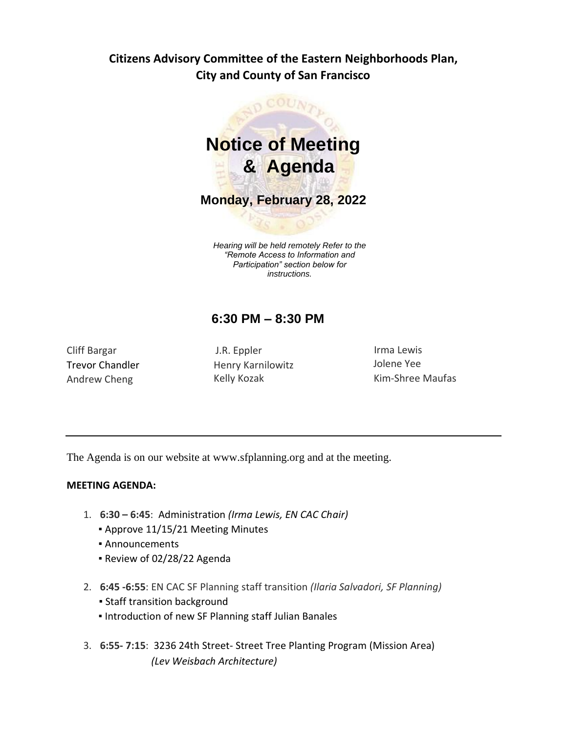# **Citizens Advisory Committee of the Eastern Neighborhoods Plan, City and County of San Francisco**



*Hearing will be held remotely Refer to the "Remote Access to Information and Participation" section below for instructions.*

# **6:30 PM – 8:30 PM**

Cliff Bargar Trevor Chandler Andrew Cheng

J.R. Eppler Henry Karnilowitz Kelly Kozak

Irma Lewis Jolene Yee Kim-Shree Maufas

The Agenda is on our website at www.sfplanning.org and at the meeting.

# **MEETING AGENDA:**

- 1. **6:30 – 6:45**: Administration *(Irma Lewis, EN CAC Chair)*
	- Approve 11/15/21 Meeting Minutes
	- Announcements
	- Review of 02/28/22 Agenda
- 2. **6:45 -6:55**: EN CAC SF Planning staff transition *(Ilaria Salvadori, SF Planning)*
	- **Staff transition background**
	- **.** Introduction of new SF Planning staff Julian Banales
- 3. **6:55- 7:15**: 3236 24th Street- Street Tree Planting Program (Mission Area)  *(Lev Weisbach Architecture)*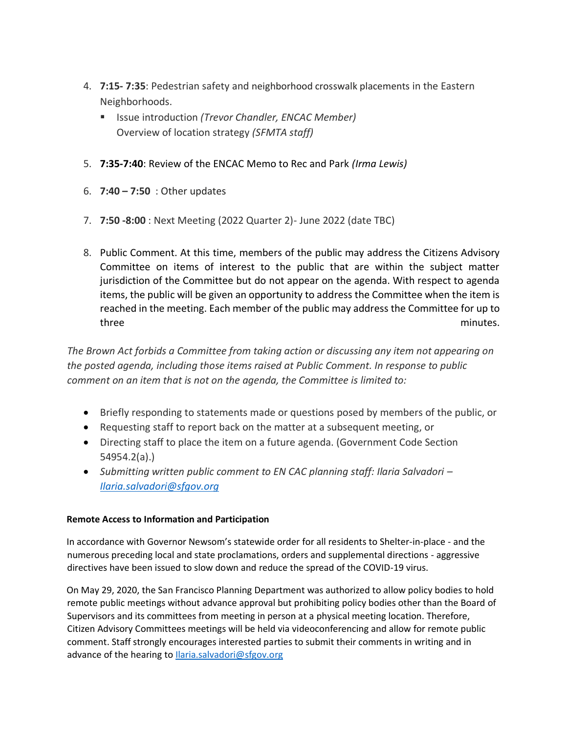- 4. **7:15- 7:35**: Pedestrian safety and neighborhood crosswalk placements in the Eastern Neighborhoods.
	- Issue introduction (Trevor Chandler, ENCAC Member) Overview of location strategy *(SFMTA staff)*
- 5. **7:35-7:40**: Review of the ENCAC Memo to Rec and Park *(Irma Lewis)*
- 6. **7:40 – 7:50** : Other updates
- 7. **7:50 -8:00** : Next Meeting (2022 Quarter 2)- June 2022 (date TBC)
- 8. Public Comment. At this time, members of the public may address the Citizens Advisory Committee on items of interest to the public that are within the subject matter jurisdiction of the Committee but do not appear on the agenda. With respect to agenda items, the public will be given an opportunity to address the Committee when the item is reached in the meeting. Each member of the public may address the Committee for up to three minutes.

*The Brown Act forbids a Committee from taking action or discussing any item not appearing on the posted agenda, including those items raised at Public Comment. In response to public comment on an item that is not on the agenda, the Committee is limited to:*

- Briefly responding to statements made or questions posed by members of the public, or
- Requesting staff to report back on the matter at a subsequent meeting, or
- Directing staff to place the item on a future agenda. (Government Code Section 54954.2(a).)
- Submitting written public comment to EN CAC planning staff: Ilaria Salvadori *[Ilaria.salvadori@sfgov.org](mailto:Ilaria.salvadori@sfgov.org)*

# **Remote Access to Information and Participation**

In accordance with Governor Newsom's statewide order for all residents to Shelter-in-place - and the numerous preceding local and state proclamations, orders and supplemental directions - aggressive directives have been issued to slow down and reduce the spread of the COVID-19 virus.

On May 29, 2020, the San Francisco Planning Department was authorized to allow policy bodies to hold remote public meetings without advance approval but prohibiting policy bodies other than the Board of Supervisors and its committees from meeting in person at a physical meeting location. Therefore, Citizen Advisory Committees meetings will be held via videoconferencing and allow for remote public comment. Staff strongly encourages interested parties to submit their comments in writing and in advance of the hearing to *Ilaria.salvadori@sfgov.org*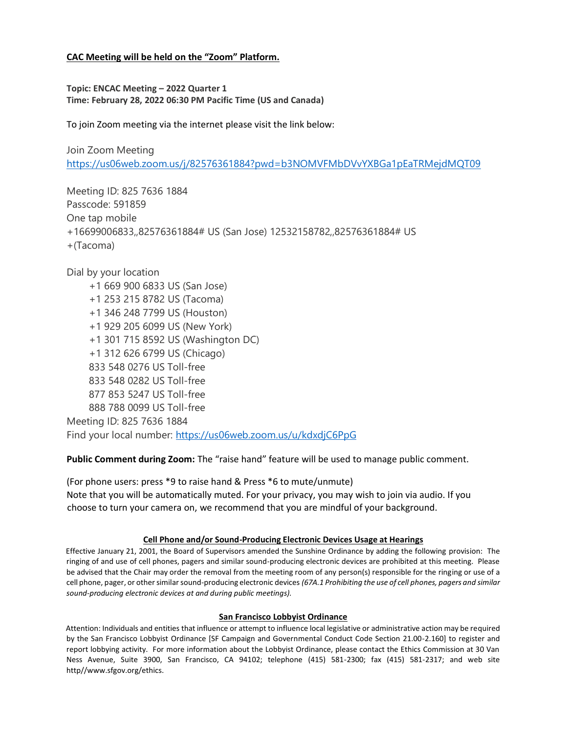## **CAC Meeting will be held on the "Zoom" Platform.**

**Topic: ENCAC Meeting – 2022 Quarter 1 Time: February 28, 2022 06:30 PM Pacific Time (US and Canada)**

To join Zoom meeting via the internet please visit the link below:

Join Zoom Meeting <https://us06web.zoom.us/j/82576361884?pwd=b3NOMVFMbDVvYXBGa1pEaTRMejdMQT09>

Meeting ID: 825 7636 1884 Passcode: 591859 One tap mobile +16699006833,,82576361884# US (San Jose) 12532158782,,82576361884# US +(Tacoma)

Dial by your location +1 669 900 6833 US (San Jose) +1 253 215 8782 US (Tacoma) +1 346 248 7799 US (Houston) +1 929 205 6099 US (New York) +1 301 715 8592 US (Washington DC) +1 312 626 6799 US (Chicago) 833 548 0276 US Toll-free 833 548 0282 US Toll-free 877 853 5247 US Toll-free 888 788 0099 US Toll-free Meeting ID: 825 7636 1884 Find your local number: <https://us06web.zoom.us/u/kdxdjC6PpG>

**Public Comment during Zoom:** The "raise hand" feature will be used to manage public comment.

(For phone users: press \*9 to raise hand & Press \*6 to mute/unmute) Note that you will be automatically muted. For your privacy, you may wish to join via audio. If you choose to turn your camera on, we recommend that you are mindful of your background.

## **Cell Phone and/or Sound-Producing Electronic Devices Usage at Hearings**

Effective January 21, 2001, the Board of Supervisors amended the Sunshine Ordinance by adding the following provision: The ringing of and use of cell phones, pagers and similar sound-producing electronic devices are prohibited at this meeting. Please be advised that the Chair may order the removal from the meeting room of any person(s) responsible for the ringing or use of a cell phone, pager, or other similar sound-producing electronic devices *(67A.1 Prohibiting the use of cell phones, pagers and similar sound-producing electronic devices at and during public meetings).*

## **San Francisco Lobbyist Ordinance**

Attention: Individuals and entities that influence or attempt to influence local legislative or administrative action may be required by the San Francisco Lobbyist Ordinance [SF Campaign and Governmental Conduct Code Section 21.00-2.160] to register and report lobbying activity. For more information about the Lobbyist Ordinance, please contact the Ethics Commission at 30 Van Ness Avenue, Suite 3900, San Francisco, CA 94102; telephone (415) 581-2300; fax (415) 581-2317; and web site http//www.sfgov.org/ethics.